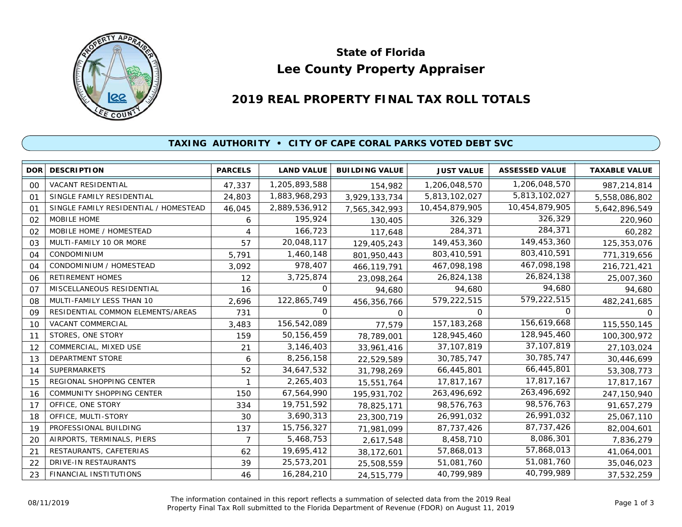

# **Lee County Property Appraiser State of Florida**

# **2019 REAL PROPERTY FINAL TAX ROLL TOTALS**

## **TAXING AUTHORITY • CITY OF CAPE CORAL PARKS VOTED DEBT SVC**

| <b>DOR</b> | <b>DESCRIPTION</b>                    | <b>PARCELS</b> | <b>LAND VALUE</b> | <b>BUILDING VALUE</b> | <b>JUST VALUE</b> | <b>ASSESSED VALUE</b> | <b>TAXABLE VALUE</b> |
|------------|---------------------------------------|----------------|-------------------|-----------------------|-------------------|-----------------------|----------------------|
| 00         | VACANT RESIDENTIAL                    | 47,337         | 1,205,893,588     | 154,982               | 1,206,048,570     | 1,206,048,570         | 987,214,814          |
| 01         | SINGLE FAMILY RESIDENTIAL             | 24,803         | 1,883,968,293     | 3,929,133,734         | 5,813,102,027     | 5,813,102,027         | 5,558,086,802        |
| 01         | SINGLE FAMILY RESIDENTIAL / HOMESTEAD | 46,045         | 2,889,536,912     | 7,565,342,993         | 10,454,879,905    | 10,454,879,905        | 5,642,896,549        |
| 02         | MOBILE HOME                           | 6              | 195,924           | 130,405               | 326,329           | 326,329               | 220,960              |
| 02         | MOBILE HOME / HOMESTEAD               | 4              | 166,723           | 117,648               | 284,371           | 284,371               | 60,282               |
| 03         | MULTI-FAMILY 10 OR MORE               | 57             | 20,048,117        | 129,405,243           | 149,453,360       | 149,453,360           | 125,353,076          |
| 04         | CONDOMINIUM                           | 5,791          | 1,460,148         | 801,950,443           | 803,410,591       | 803,410,591           | 771,319,656          |
| 04         | CONDOMINIUM / HOMESTEAD               | 3,092          | 978,407           | 466,119,791           | 467,098,198       | 467,098,198           | 216,721,421          |
| 06         | <b>RETIREMENT HOMES</b>               | 12             | 3,725,874         | 23,098,264            | 26,824,138        | 26,824,138            | 25,007,360           |
| 07         | MISCELLANEOUS RESIDENTIAL             | 16             | 0                 | 94,680                | 94,680            | 94,680                | 94,680               |
| 08         | MULTI-FAMILY LESS THAN 10             | 2,696          | 122,865,749       | 456,356,766           | 579,222,515       | 579,222,515           | 482,241,685          |
| 09         | RESIDENTIAL COMMON ELEMENTS/AREAS     | 731            | 0                 | $\Omega$              | 0                 | $\Omega$              | 0                    |
| 10         | VACANT COMMERCIAL                     | 3,483          | 156,542,089       | 77,579                | 157, 183, 268     | 156,619,668           | 115,550,145          |
| 11         | STORES, ONE STORY                     | 159            | 50, 156, 459      | 78,789,001            | 128,945,460       | 128,945,460           | 100,300,972          |
| 12         | COMMERCIAL, MIXED USE                 | 21             | 3,146,403         | 33,961,416            | 37, 107, 819      | 37,107,819            | 27,103,024           |
| 13         | <b>DEPARTMENT STORE</b>               | 6              | 8,256,158         | 22,529,589            | 30,785,747        | 30,785,747            | 30,446,699           |
| 14         | <b>SUPERMARKETS</b>                   | 52             | 34,647,532        | 31,798,269            | 66,445,801        | 66,445,801            | 53,308,773           |
| 15         | REGIONAL SHOPPING CENTER              |                | 2,265,403         | 15,551,764            | 17,817,167        | 17,817,167            | 17,817,167           |
| 16         | <b>COMMUNITY SHOPPING CENTER</b>      | 150            | 67,564,990        | 195,931,702           | 263,496,692       | 263,496,692           | 247,150,940          |
| 17         | OFFICE, ONE STORY                     | 334            | 19,751,592        | 78,825,171            | 98,576,763        | 98,576,763            | 91,657,279           |
| 18         | OFFICE, MULTI-STORY                   | 30             | 3,690,313         | 23,300,719            | 26,991,032        | 26,991,032            | 25,067,110           |
| 19         | PROFESSIONAL BUILDING                 | 137            | 15,756,327        | 71,981,099            | 87,737,426        | 87,737,426            | 82,004,601           |
| 20         | AIRPORTS, TERMINALS, PIERS            | 7              | 5,468,753         | 2,617,548             | 8,458,710         | 8,086,301             | 7,836,279            |
| 21         | RESTAURANTS, CAFETERIAS               | 62             | 19,695,412        | 38,172,601            | 57,868,013        | 57,868,013            | 41,064,001           |
| 22         | DRIVE-IN RESTAURANTS                  | 39             | 25,573,201        | 25,508,559            | 51,081,760        | 51,081,760            | 35,046,023           |
| 23         | FINANCIAL INSTITUTIONS                | 46             | 16,284,210        | 24,515,779            | 40,799,989        | 40,799,989            | 37,532,259           |

The information contained in this report reflects a summation of selected data from the 2019 Real OB/11/2019 **Example Final Tax Roll submitted in this report reflects a summation of selected data from the 2019 Real<br>Property Final Tax Roll submitted to the Florida Department of Revenue (FDOR) on August 11, 2019 Page 1 o**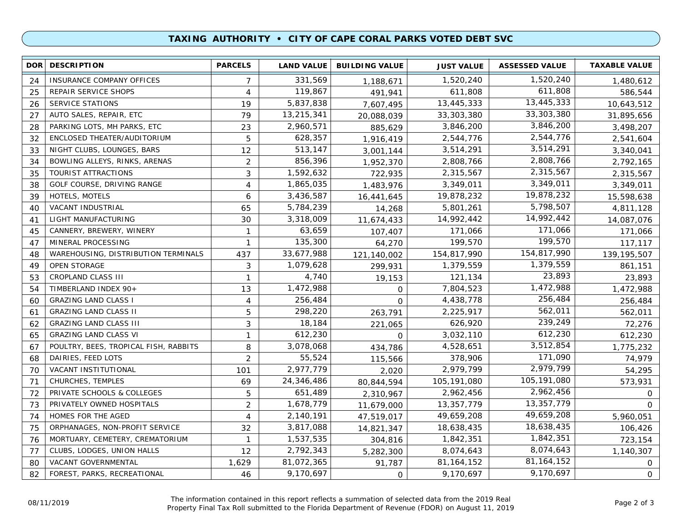### **TAXING AUTHORITY • CITY OF CAPE CORAL PARKS VOTED DEBT SVC**

| DOR <b>I</b> | <b>DESCRIPTION</b>                    | <b>PARCELS</b> | <b>LAND VALUE</b> | <b>BUILDING VALUE</b> | <b>JUST VALUE</b> | <b>ASSESSED VALUE</b> | <b>TAXABLE VALUE</b> |
|--------------|---------------------------------------|----------------|-------------------|-----------------------|-------------------|-----------------------|----------------------|
| 24           | INSURANCE COMPANY OFFICES             | 7              | 331,569           | 1,188,671             | 1,520,240         | 1,520,240             | 1,480,612            |
| 25           | REPAIR SERVICE SHOPS                  | 4              | 119,867           | 491,941               | 611,808           | 611,808               | 586,544              |
| 26           | <b>SERVICE STATIONS</b>               | 19             | 5,837,838         | 7,607,495             | 13,445,333        | 13,445,333            | 10,643,512           |
| 27           | AUTO SALES, REPAIR, ETC               | 79             | 13,215,341        | 20,088,039            | 33,303,380        | 33,303,380            | 31,895,656           |
| 28           | PARKING LOTS, MH PARKS, ETC           | 23             | 2,960,571         | 885,629               | 3,846,200         | 3,846,200             | 3,498,207            |
| 32           | ENCLOSED THEATER/AUDITORIUM           | 5              | 628,357           | 1,916,419             | 2,544,776         | 2,544,776             | 2,541,604            |
| 33           | NIGHT CLUBS, LOUNGES, BARS            | 12             | 513,147           | 3,001,144             | 3,514,291         | 3,514,291             | 3,340,041            |
| 34           | BOWLING ALLEYS, RINKS, ARENAS         | $\overline{2}$ | 856,396           | 1,952,370             | 2,808,766         | 2,808,766             | 2,792,165            |
| 35           | <b>TOURIST ATTRACTIONS</b>            | 3              | 1,592,632         | 722,935               | 2,315,567         | 2,315,567             | 2,315,567            |
| 38           | GOLF COURSE, DRIVING RANGE            | $\overline{4}$ | 1,865,035         | 1,483,976             | 3,349,011         | 3,349,011             | 3,349,011            |
| 39           | HOTELS, MOTELS                        | 6              | 3,436,587         | 16,441,645            | 19,878,232        | 19,878,232            | 15,598,638           |
| 40           | VACANT INDUSTRIAL                     | 65             | 5,784,239         | 14,268                | 5,801,261         | 5,798,507             | 4,811,128            |
| 41           | LIGHT MANUFACTURING                   | 30             | 3,318,009         | 11,674,433            | 14,992,442        | 14,992,442            | 14,087,076           |
| 45           | CANNERY, BREWERY, WINERY              | 1              | 63,659            | 107,407               | 171,066           | 171,066               | 171,066              |
| 47           | MINERAL PROCESSING                    | 1              | 135,300           | 64,270                | 199,570           | 199,570               | 117,117              |
| 48           | WAREHOUSING, DISTRIBUTION TERMINALS   | 437            | 33,677,988        | 121,140,002           | 154,817,990       | 154,817,990           | 139, 195, 507        |
| 49           | <b>OPEN STORAGE</b>                   | 3              | 1,079,628         | 299,931               | 1,379,559         | 1,379,559             | 861,151              |
| 53           | <b>CROPLAND CLASS III</b>             | $\mathbf{1}$   | 4,740             | 19,153                | 121,134           | 23,893                | 23,893               |
| 54           | TIMBERLAND INDEX 90+                  | 13             | 1,472,988         | $\mathbf 0$           | 7,804,523         | 1,472,988             | 1,472,988            |
| 60           | <b>GRAZING LAND CLASS I</b>           | 4              | 256,484           | $\mathsf{O}$          | 4,438,778         | 256,484               | 256,484              |
| 61           | <b>GRAZING LAND CLASS II</b>          | 5              | 298,220           | 263,791               | 2,225,917         | 562,011               | 562,011              |
| 62           | <b>GRAZING LAND CLASS III</b>         | 3              | 18,184            | 221,065               | 626,920           | 239,249               | 72,276               |
| 65           | <b>GRAZING LAND CLASS VI</b>          | $\mathbf{1}$   | 612,230           | $\Omega$              | 3,032,110         | 612,230               | 612,230              |
| 67           | POULTRY, BEES, TROPICAL FISH, RABBITS | 8              | 3,078,068         | 434,786               | 4,528,651         | 3,512,854             | 1,775,232            |
| 68           | DAIRIES, FEED LOTS                    | $\overline{2}$ | 55,524            | 115,566               | 378,906           | 171,090               | 74,979               |
| 70           | VACANT INSTITUTIONAL                  | 101            | 2,977,779         | 2,020                 | 2,979,799         | 2,979,799             | 54,295               |
| 71           | CHURCHES, TEMPLES                     | 69             | 24,346,486        | 80,844,594            | 105, 191, 080     | 105,191,080           | 573,931              |
| 72           | PRIVATE SCHOOLS & COLLEGES            | 5              | 651,489           | 2,310,967             | 2,962,456         | 2,962,456             | $\mathbf{O}$         |
| 73           | PRIVATELY OWNED HOSPITALS             | $\overline{2}$ | 1,678,779         | 11,679,000            | 13,357,779        | 13,357,779            | $\Omega$             |
| 74           | HOMES FOR THE AGED                    | 4              | 2,140,191         | 47,519,017            | 49,659,208        | 49,659,208            | 5,960,051            |
| 75           | ORPHANAGES, NON-PROFIT SERVICE        | 32             | 3,817,088         | 14,821,347            | 18,638,435        | 18,638,435            | 106,426              |
| 76           | MORTUARY, CEMETERY, CREMATORIUM       | $\mathbf{1}$   | 1,537,535         | 304,816               | 1,842,351         | 1,842,351             | 723,154              |
| 77           | CLUBS, LODGES, UNION HALLS            | 12             | 2,792,343         | 5,282,300             | 8,074,643         | 8,074,643             | 1,140,307            |
| 80           | VACANT GOVERNMENTAL                   | 1,629          | 81,072,365        | 91,787                | 81, 164, 152      | 81, 164, 152          | 0                    |
| 82           | FOREST, PARKS, RECREATIONAL           | 46             | 9,170,697         | $\mathsf{O}$          | 9,170,697         | 9,170,697             | 0                    |